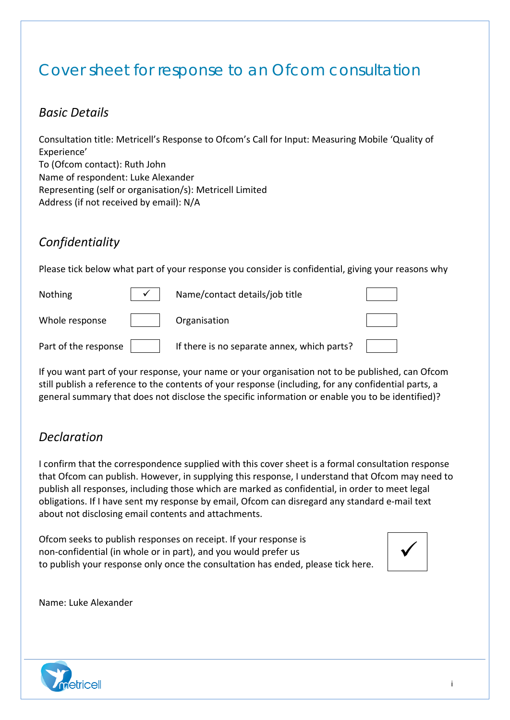## Cover sheet for response to an Ofcom consultation

### *Basic Details*

Consultation title: Metricell's Response to Ofcom's Call for Input: Measuring Mobile 'Quality of Experience' To (Ofcom contact): Ruth John Name of respondent: Luke Alexander Representing (self or organisation/s): Metricell Limited Address (if not received by email): N/A

## *Confidentiality*

Please tick below what part of your response you consider is confidential, giving your reasons why

| <b>Nothing</b>       | Name/contact details/job title              |  |
|----------------------|---------------------------------------------|--|
| Whole response       | Organisation                                |  |
| Part of the response | If there is no separate annex, which parts? |  |

If you want part of your response, your name or your organisation not to be published, can Ofcom still publish a reference to the contents of your response (including, for any confidential parts, a general summary that does not disclose the specific information or enable you to be identified)?

## *Declaration*

I confirm that the correspondence supplied with this cover sheet is a formal consultation response that Ofcom can publish. However, in supplying this response, I understand that Ofcom may need to publish all responses, including those which are marked as confidential, in order to meet legal obligations. If I have sent my response by email, Ofcom can disregard any standard e-mail text about not disclosing email contents and attachments.

Ofcom seeks to publish responses on receipt. If your response is non-confidential (in whole or in part), and you would prefer us to publish your response only once the consultation has ended, please tick here.



Name: Luke Alexander

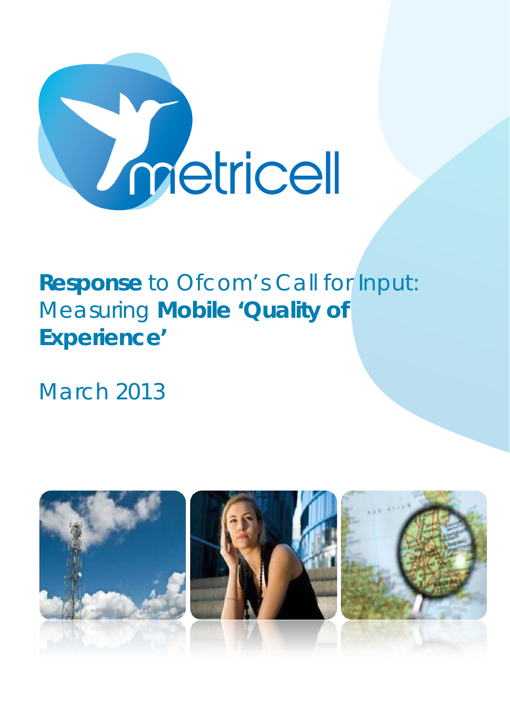

# *Response to Ofcom's Call for Input: Measuring Mobile 'Quality of Experience'*

March 2013

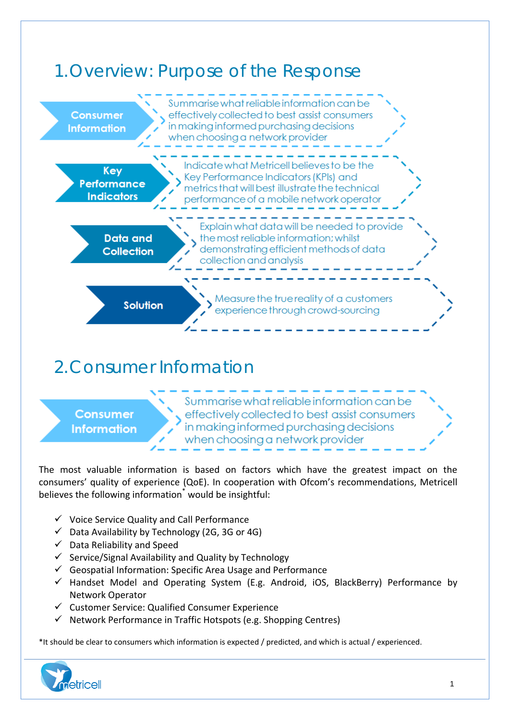

# 2.Consumer Information

### **Consumer Information**

Summarise what reliable information can be effectively collected to best assist consumers in making informed purchasing decisions when choosing a network provider

The most valuable information is based on factors which have the greatest impact on the consumers' quality of experience (QoE). In cooperation with Ofcom's recommendations, Metricell believes the following information<sup>\*</sup> would be insightful:

- $\checkmark$  Voice Service Quality and Call Performance
- $\checkmark$  Data Availability by Technology (2G, 3G or 4G)
- $\checkmark$  Data Reliability and Speed
- $\checkmark$  Service/Signal Availability and Quality by Technology
- $\checkmark$  Geospatial Information: Specific Area Usage and Performance
- $\checkmark$  Handset Model and Operating System (E.g. Android, iOS, BlackBerry) Performance by Network Operator
- $\checkmark$  Customer Service: Qualified Consumer Experience
- $\checkmark$  Network Performance in Traffic Hotspots (e.g. Shopping Centres)

\*It should be clear to consumers which information is expected / predicted, and which is actual / experienced.

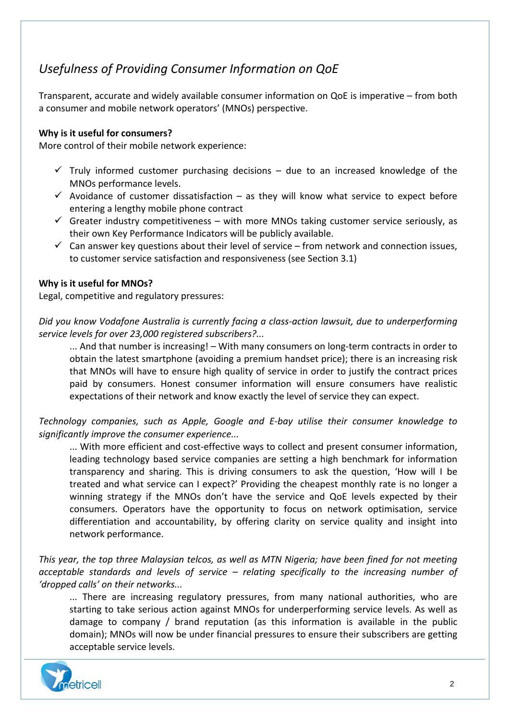## *Usefulness of Providing Consumer Information on QoE*

Transparent, accurate and widely available consumer information on QoE is imperative – from both a consumer and mobile network operators' (MNOs) perspective.

#### **Why is it useful for consumers?**

More control of their mobile network experience:

- $\checkmark$  Truly informed customer purchasing decisions due to an increased knowledge of the MNOs performance levels.
- $\checkmark$  Avoidance of customer dissatisfaction as they will know what service to expect before entering a lengthy mobile phone contract
- $\checkmark$  Greater industry competitiveness with more MNOs taking customer service seriously, as their own Key Performance Indicators will be publicly available.
- $\checkmark$  Can answer key questions about their level of service from network and connection issues, to customer service satisfaction and responsiveness (see Section 3.1)

#### **Why is it useful for MNOs?**

Legal, competitive and regulatory pressures:

*Did you know Vodafone Australia is currently facing a class-action lawsuit, due to underperforming service levels for over 23,000 registered subscribers?...*

... And that number is increasing! – With many consumers on long-term contracts in order to obtain the latest smartphone (avoiding a premium handset price); there is an increasing risk that MNOs will have to ensure high quality of service in order to justify the contract prices paid by consumers. Honest consumer information will ensure consumers have realistic expectations of their network and know exactly the level of service they can expect.

*Technology companies, such as Apple, Google and E-bay utilise their consumer knowledge to significantly improve the consumer experience...*

... With more efficient and cost-effective ways to collect and present consumer information, leading technology based service companies are setting a high benchmark for information transparency and sharing. This is driving consumers to ask the question, 'How will I be treated and what service can I expect?' Providing the cheapest monthly rate is no longer a winning strategy if the MNOs don't have the service and QoE levels expected by their consumers. Operators have the opportunity to focus on network optimisation, service differentiation and accountability, by offering clarity on service quality and insight into network performance.

*This year, the top three Malaysian telcos, as well as MTN Nigeria; have been fined for not meeting acceptable standards and levels of service – relating specifically to the increasing number of 'dropped calls' on their networks...* 

... There are increasing regulatory pressures, from many national authorities, who are starting to take serious action against MNOs for underperforming service levels. As well as damage to company / brand reputation (as this information is available in the public domain); MNOs will now be under financial pressures to ensure their subscribers are getting acceptable service levels.

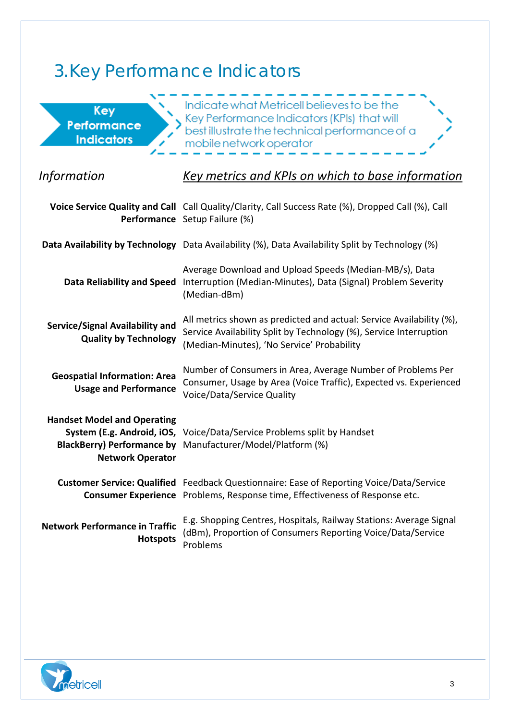# 3.Key Performance Indicators

| Key<br>Performance<br><b>Indicators</b>                                                            | Indicate what Metricell believes to be the<br>Key Performance Indicators (KPIs) that will<br>best illustrate the technical performance of a<br>mobile network operator                   |
|----------------------------------------------------------------------------------------------------|------------------------------------------------------------------------------------------------------------------------------------------------------------------------------------------|
| <i>Information</i>                                                                                 | Key metrics and KPIs on which to base information                                                                                                                                        |
|                                                                                                    | Voice Service Quality and Call Call Quality/Clarity, Call Success Rate (%), Dropped Call (%), Call<br>Performance Setup Failure (%)                                                      |
|                                                                                                    | Data Availability by Technology Data Availability (%), Data Availability Split by Technology (%)                                                                                         |
| <b>Data Reliability and Speed</b>                                                                  | Average Download and Upload Speeds (Median-MB/s), Data<br>Interruption (Median-Minutes), Data (Signal) Problem Severity<br>(Median-dBm)                                                  |
| <b>Service/Signal Availability and</b><br><b>Quality by Technology</b>                             | All metrics shown as predicted and actual: Service Availability (%),<br>Service Availability Split by Technology (%), Service Interruption<br>(Median-Minutes), 'No Service' Probability |
| <b>Geospatial Information: Area</b><br><b>Usage and Performance</b>                                | Number of Consumers in Area, Average Number of Problems Per<br>Consumer, Usage by Area (Voice Traffic), Expected vs. Experienced<br>Voice/Data/Service Quality                           |
| <b>Handset Model and Operating</b><br><b>BlackBerry) Performance by</b><br><b>Network Operator</b> | System (E.g. Android, iOS, Voice/Data/Service Problems split by Handset<br>Manufacturer/Model/Platform (%)                                                                               |
|                                                                                                    | Customer Service: Qualified Feedback Questionnaire: Ease of Reporting Voice/Data/Service<br>Consumer Experience Problems, Response time, Effectiveness of Response etc.                  |
| <b>Network Performance in Traffic</b><br><b>Hotspots</b>                                           | E.g. Shopping Centres, Hospitals, Railway Stations: Average Signal<br>(dBm), Proportion of Consumers Reporting Voice/Data/Service<br>Problems                                            |

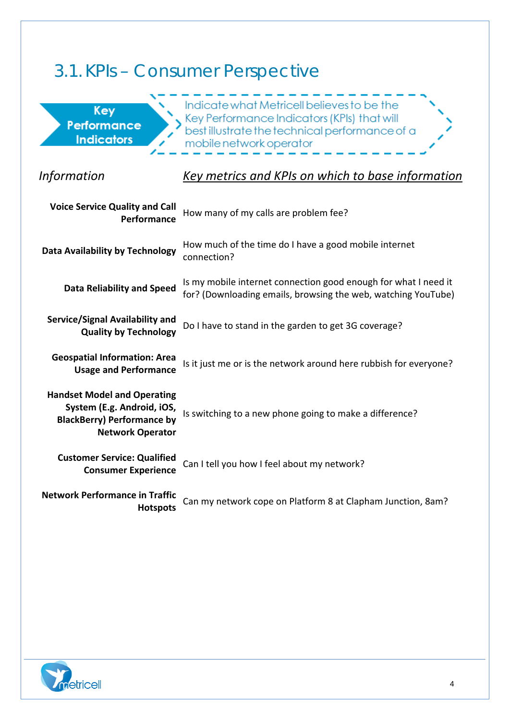# 3.1.KPIs – Consumer Perspective

| Key<br>Performance<br><b>Indicators</b>                                                                                          | Indicate what Metricell believes to be the<br>Key Performance Indicators (KPIs) that will<br>best illustrate the technical performance of a<br>mobile network operator |
|----------------------------------------------------------------------------------------------------------------------------------|------------------------------------------------------------------------------------------------------------------------------------------------------------------------|
| <i>Information</i>                                                                                                               | Key metrics and KPIs on which to base information                                                                                                                      |
| <b>Voice Service Quality and Call</b><br>Performance                                                                             | How many of my calls are problem fee?                                                                                                                                  |
| <b>Data Availability by Technology</b>                                                                                           | How much of the time do I have a good mobile internet<br>connection?                                                                                                   |
| <b>Data Reliability and Speed</b>                                                                                                | Is my mobile internet connection good enough for what I need it<br>for? (Downloading emails, browsing the web, watching YouTube)                                       |
| <b>Service/Signal Availability and</b><br><b>Quality by Technology</b>                                                           | Do I have to stand in the garden to get 3G coverage?                                                                                                                   |
| <b>Geospatial Information: Area</b><br><b>Usage and Performance</b>                                                              | Is it just me or is the network around here rubbish for everyone?                                                                                                      |
| <b>Handset Model and Operating</b><br>System (E.g. Android, iOS,<br><b>BlackBerry) Performance by</b><br><b>Network Operator</b> | Is switching to a new phone going to make a difference?                                                                                                                |
| <b>Customer Service: Qualified</b><br><b>Consumer Experience</b>                                                                 | Can I tell you how I feel about my network?                                                                                                                            |
| <b>Network Performance in Traffic</b><br><b>Hotspots</b>                                                                         | Can my network cope on Platform 8 at Clapham Junction, 8am?                                                                                                            |

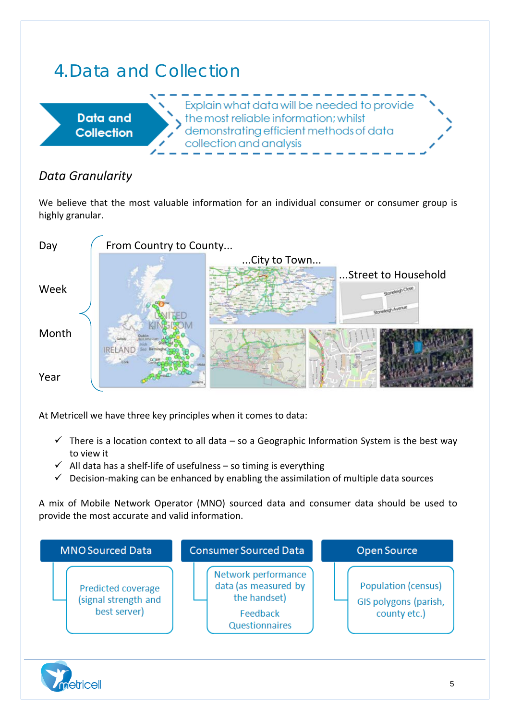# 4.Data and Collection



## *Data Granularity*

We believe that the most valuable information for an individual consumer or consumer group is highly granular.



At Metricell we have three key principles when it comes to data:

- $\checkmark$  There is a location context to all data so a Geographic Information System is the best way to view it
- $\checkmark$  All data has a shelf-life of usefulness so timing is everything
- $\checkmark$  Decision-making can be enhanced by enabling the assimilation of multiple data sources

A mix of Mobile Network Operator (MNO) sourced data and consumer data should be used to provide the most accurate and valid information.



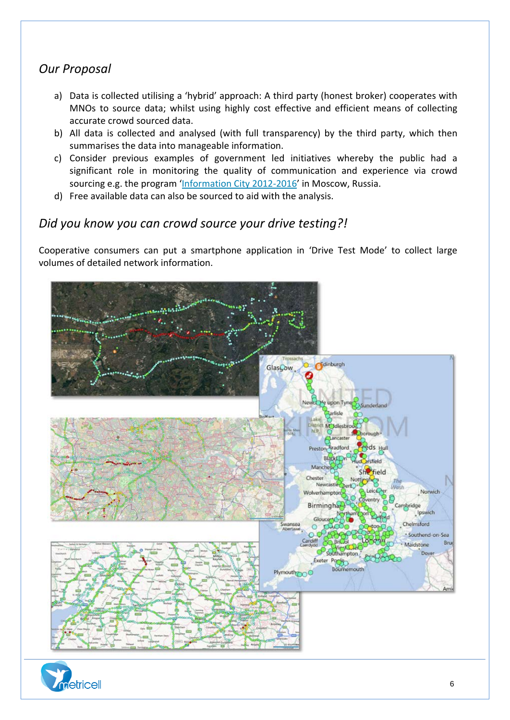## *Our Proposal*

- a) Data is collected utilising a 'hybrid' approach: A third party (honest broker) cooperates with MNOs to source data; whilst using highly cost effective and efficient means of collecting accurate crowd sourced data.
- b) All data is collected and analysed (with full transparency) by the third party, which then summarises the data into manageable information.
- c) Consider previous examples of government led initiatives whereby the public had a significant role in monitoring the quality of communication and experience via crowd sourcing e.g. the program ['Information City 2012-2016'](http://dit.mos.ru/signal/) in Moscow, Russia.
- d) Free available data can also be sourced to aid with the analysis.

### *Did you know you can crowd source your drive testing?!*

Cooperative consumers can put a smartphone application in 'Drive Test Mode' to collect large volumes of detailed network information.